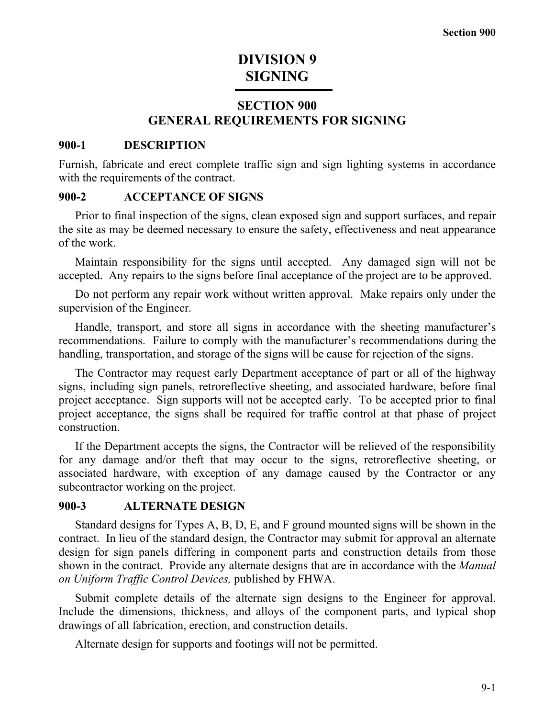# **DIVISION 9 SIGNING**

# **SECTION 900 GENERAL REQUIREMENTS FOR SIGNING**

#### **900-1 DESCRIPTION**

Furnish, fabricate and erect complete traffic sign and sign lighting systems in accordance with the requirements of the contract.

#### **900-2 ACCEPTANCE OF SIGNS**

Prior to final inspection of the signs, clean exposed sign and support surfaces, and repair the site as may be deemed necessary to ensure the safety, effectiveness and neat appearance of the work.

Maintain responsibility for the signs until accepted. Any damaged sign will not be accepted. Any repairs to the signs before final acceptance of the project are to be approved.

Do not perform any repair work without written approval. Make repairs only under the supervision of the Engineer.

Handle, transport, and store all signs in accordance with the sheeting manufacturer's recommendations. Failure to comply with the manufacturer's recommendations during the handling, transportation, and storage of the signs will be cause for rejection of the signs.

The Contractor may request early Department acceptance of part or all of the highway signs, including sign panels, retroreflective sheeting, and associated hardware, before final project acceptance. Sign supports will not be accepted early. To be accepted prior to final project acceptance, the signs shall be required for traffic control at that phase of project construction.

If the Department accepts the signs, the Contractor will be relieved of the responsibility for any damage and/or theft that may occur to the signs, retroreflective sheeting, or associated hardware, with exception of any damage caused by the Contractor or any subcontractor working on the project.

### **900-3 ALTERNATE DESIGN**

Standard designs for Types A, B, D, E, and F ground mounted signs will be shown in the contract. In lieu of the standard design, the Contractor may submit for approval an alternate design for sign panels differing in component parts and construction details from those shown in the contract. Provide any alternate designs that are in accordance with the *Manual on Uniform Traffic Control Devices,* published by FHWA.

Submit complete details of the alternate sign designs to the Engineer for approval. Include the dimensions, thickness, and alloys of the component parts, and typical shop drawings of all fabrication, erection, and construction details.

Alternate design for supports and footings will not be permitted.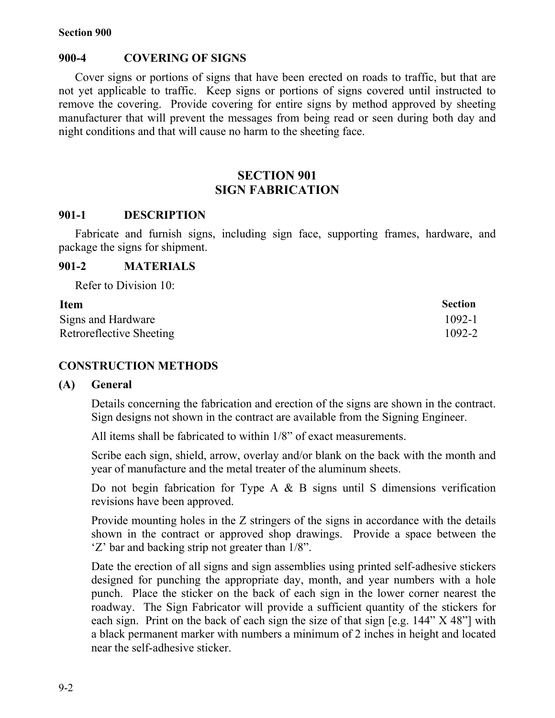#### **900-4 COVERING OF SIGNS**

Cover signs or portions of signs that have been erected on roads to traffic, but that are not yet applicable to traffic. Keep signs or portions of signs covered until instructed to remove the covering. Provide covering for entire signs by method approved by sheeting manufacturer that will prevent the messages from being read or seen during both day and night conditions and that will cause no harm to the sheeting face.

# **SECTION 901 SIGN FABRICATION**

#### **901-1 DESCRIPTION**

Fabricate and furnish signs, including sign face, supporting frames, hardware, and package the signs for shipment.

#### **901-2 MATERIALS**

Refer to Division 10:

| <b>Item</b>              | <b>Section</b> |
|--------------------------|----------------|
| Signs and Hardware       | $1092 - 1$     |
| Retroreflective Sheeting | 1092-2         |

#### **CONSTRUCTION METHODS**

#### **(A) General**

Details concerning the fabrication and erection of the signs are shown in the contract. Sign designs not shown in the contract are available from the Signing Engineer.

All items shall be fabricated to within 1/8" of exact measurements.

Scribe each sign, shield, arrow, overlay and/or blank on the back with the month and year of manufacture and the metal treater of the aluminum sheets.

Do not begin fabrication for Type A  $\&$  B signs until S dimensions verification revisions have been approved.

Provide mounting holes in the Z stringers of the signs in accordance with the details shown in the contract or approved shop drawings. Provide a space between the 'Z' bar and backing strip not greater than 1/8".

Date the erection of all signs and sign assemblies using printed self-adhesive stickers designed for punching the appropriate day, month, and year numbers with a hole punch. Place the sticker on the back of each sign in the lower corner nearest the roadway. The Sign Fabricator will provide a sufficient quantity of the stickers for each sign. Print on the back of each sign the size of that sign [e.g. 144" X 48"] with a black permanent marker with numbers a minimum of 2 inches in height and located near the self-adhesive sticker.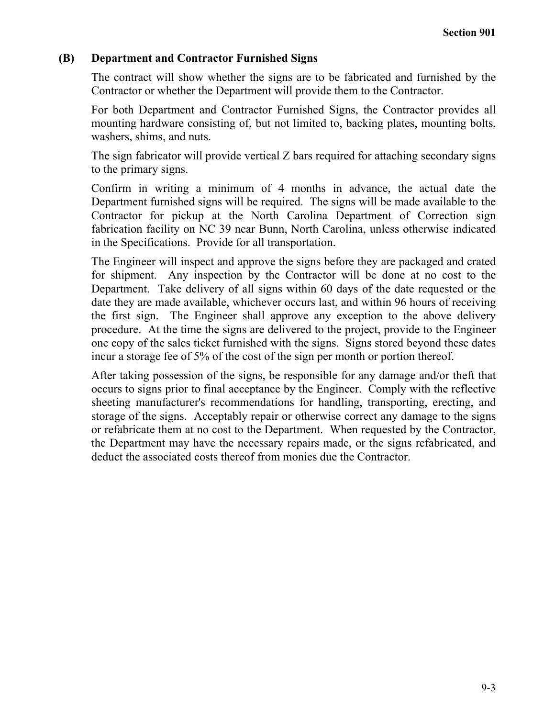## **(B) Department and Contractor Furnished Signs**

The contract will show whether the signs are to be fabricated and furnished by the Contractor or whether the Department will provide them to the Contractor.

For both Department and Contractor Furnished Signs, the Contractor provides all mounting hardware consisting of, but not limited to, backing plates, mounting bolts, washers, shims, and nuts.

The sign fabricator will provide vertical Z bars required for attaching secondary signs to the primary signs.

Confirm in writing a minimum of 4 months in advance, the actual date the Department furnished signs will be required. The signs will be made available to the Contractor for pickup at the North Carolina Department of Correction sign fabrication facility on NC 39 near Bunn, North Carolina, unless otherwise indicated in the Specifications. Provide for all transportation.

The Engineer will inspect and approve the signs before they are packaged and crated for shipment. Any inspection by the Contractor will be done at no cost to the Department. Take delivery of all signs within 60 days of the date requested or the date they are made available, whichever occurs last, and within 96 hours of receiving the first sign. The Engineer shall approve any exception to the above delivery procedure. At the time the signs are delivered to the project, provide to the Engineer one copy of the sales ticket furnished with the signs. Signs stored beyond these dates incur a storage fee of 5% of the cost of the sign per month or portion thereof.

After taking possession of the signs, be responsible for any damage and/or theft that occurs to signs prior to final acceptance by the Engineer. Comply with the reflective sheeting manufacturer's recommendations for handling, transporting, erecting, and storage of the signs. Acceptably repair or otherwise correct any damage to the signs or refabricate them at no cost to the Department. When requested by the Contractor, the Department may have the necessary repairs made, or the signs refabricated, and deduct the associated costs thereof from monies due the Contractor.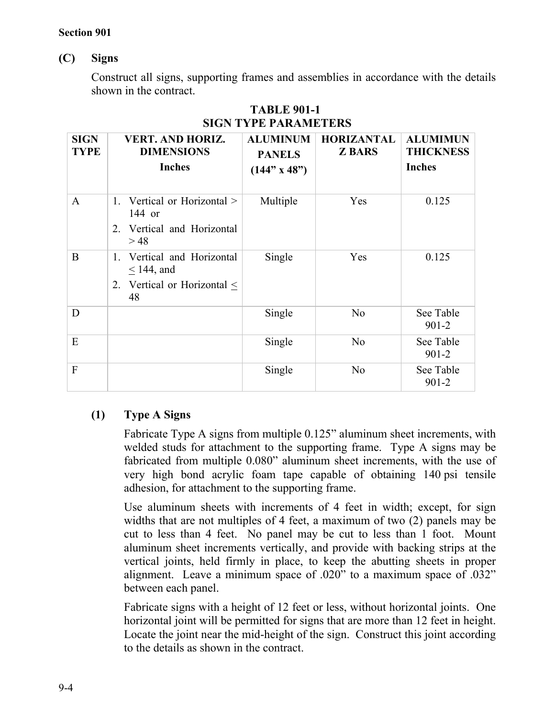## **(C) Signs**

Construct all signs, supporting frames and assemblies in accordance with the details shown in the contract.

| <b>SIGN</b><br><b>TYPE</b> | <b>VERT. AND HORIZ.</b><br><b>DIMENSIONS</b><br><b>Inches</b>                        | <b>ALUMINUM</b><br><b>PANELS</b><br>$(144" \times 48")$ | <b>HORIZANTAL</b><br><b>Z BARS</b> | <b>ALUMIMUN</b><br><b>THICKNESS</b><br><b>Inches</b> |
|----------------------------|--------------------------------------------------------------------------------------|---------------------------------------------------------|------------------------------------|------------------------------------------------------|
| $\mathbf{A}$               | 1. Vertical or Horizontal ><br>144 or<br>2. Vertical and Horizontal<br>>48           | Multiple                                                | Yes                                | 0.125                                                |
| B                          | 1. Vertical and Horizontal<br>$<$ 144, and<br>2. Vertical or Horizontal $\leq$<br>48 | Single                                                  | Yes                                | 0.125                                                |
| D                          |                                                                                      | Single                                                  | N <sub>o</sub>                     | See Table<br>$901 - 2$                               |
| E                          |                                                                                      | Single                                                  | N <sub>o</sub>                     | See Table<br>$901 - 2$                               |
| F                          |                                                                                      | Single                                                  | N <sub>0</sub>                     | See Table<br>$901 - 2$                               |

# **TABLE 901-1 SIGN TYPE PARAMETERS**

# **(1) Type A Signs**

Fabricate Type A signs from multiple 0.125" aluminum sheet increments, with welded studs for attachment to the supporting frame. Type A signs may be fabricated from multiple 0.080" aluminum sheet increments, with the use of very high bond acrylic foam tape capable of obtaining 140 psi tensile adhesion, for attachment to the supporting frame.

Use aluminum sheets with increments of 4 feet in width; except, for sign widths that are not multiples of 4 feet, a maximum of two (2) panels may be cut to less than 4 feet. No panel may be cut to less than 1 foot. Mount aluminum sheet increments vertically, and provide with backing strips at the vertical joints, held firmly in place, to keep the abutting sheets in proper alignment. Leave a minimum space of .020" to a maximum space of .032" between each panel.

Fabricate signs with a height of 12 feet or less, without horizontal joints. One horizontal joint will be permitted for signs that are more than 12 feet in height. Locate the joint near the mid-height of the sign. Construct this joint according to the details as shown in the contract.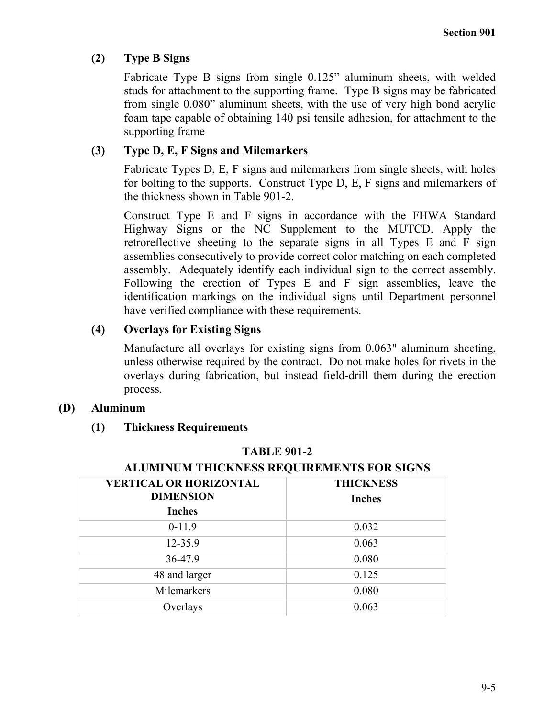## **(2) Type B Signs**

Fabricate Type B signs from single 0.125" aluminum sheets, with welded studs for attachment to the supporting frame. Type B signs may be fabricated from single 0.080" aluminum sheets, with the use of very high bond acrylic foam tape capable of obtaining 140 psi tensile adhesion, for attachment to the supporting frame

## **(3) Type D, E, F Signs and Milemarkers**

Fabricate Types D, E, F signs and milemarkers from single sheets, with holes for bolting to the supports. Construct Type D, E, F signs and milemarkers of the thickness shown in Table 901-2.

Construct Type E and F signs in accordance with the FHWA Standard Highway Signs or the NC Supplement to the MUTCD. Apply the retroreflective sheeting to the separate signs in all Types E and F sign assemblies consecutively to provide correct color matching on each completed assembly. Adequately identify each individual sign to the correct assembly. Following the erection of Types E and F sign assemblies, leave the identification markings on the individual signs until Department personnel have verified compliance with these requirements.

# **(4) Overlays for Existing Signs**

Manufacture all overlays for existing signs from 0.063" aluminum sheeting, unless otherwise required by the contract. Do not make holes for rivets in the overlays during fabrication, but instead field-drill them during the erection process.

## **(D) Aluminum**

## **(1) Thickness Requirements**

| <b>VERTICAL OR HORIZONTAL</b><br><b>DIMENSION</b><br><b>Inches</b> | <b>THICKNESS</b><br><b>Inches</b> |
|--------------------------------------------------------------------|-----------------------------------|
| $0-11.9$                                                           | 0.032                             |
| 12-35.9                                                            | 0.063                             |
| 36-47.9                                                            | 0.080                             |
| 48 and larger                                                      | 0.125                             |
| Milemarkers                                                        | 0.080                             |
| Overlays                                                           | 0.063                             |

## **TABLE 901-2**

# **ALUMINUM THICKNESS REQUIREMENTS FOR SIGNS**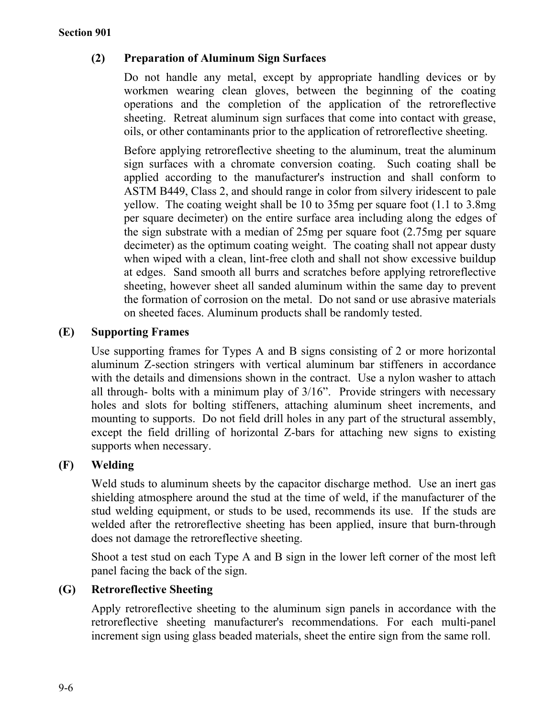# **(2) Preparation of Aluminum Sign Surfaces**

Do not handle any metal, except by appropriate handling devices or by workmen wearing clean gloves, between the beginning of the coating operations and the completion of the application of the retroreflective sheeting. Retreat aluminum sign surfaces that come into contact with grease, oils, or other contaminants prior to the application of retroreflective sheeting.

Before applying retroreflective sheeting to the aluminum, treat the aluminum sign surfaces with a chromate conversion coating. Such coating shall be applied according to the manufacturer's instruction and shall conform to ASTM B449, Class 2, and should range in color from silvery iridescent to pale yellow. The coating weight shall be 10 to 35mg per square foot (1.1 to 3.8mg per square decimeter) on the entire surface area including along the edges of the sign substrate with a median of 25mg per square foot (2.75mg per square decimeter) as the optimum coating weight. The coating shall not appear dusty when wiped with a clean, lint-free cloth and shall not show excessive buildup at edges. Sand smooth all burrs and scratches before applying retroreflective sheeting, however sheet all sanded aluminum within the same day to prevent the formation of corrosion on the metal. Do not sand or use abrasive materials on sheeted faces. Aluminum products shall be randomly tested.

# **(E) Supporting Frames**

Use supporting frames for Types A and B signs consisting of 2 or more horizontal aluminum Z-section stringers with vertical aluminum bar stiffeners in accordance with the details and dimensions shown in the contract. Use a nylon washer to attach all through- bolts with a minimum play of 3/16". Provide stringers with necessary holes and slots for bolting stiffeners, attaching aluminum sheet increments, and mounting to supports. Do not field drill holes in any part of the structural assembly, except the field drilling of horizontal Z-bars for attaching new signs to existing supports when necessary.

# **(F) Welding**

Weld studs to aluminum sheets by the capacitor discharge method. Use an inert gas shielding atmosphere around the stud at the time of weld, if the manufacturer of the stud welding equipment, or studs to be used, recommends its use. If the studs are welded after the retroreflective sheeting has been applied, insure that burn-through does not damage the retroreflective sheeting.

Shoot a test stud on each Type A and B sign in the lower left corner of the most left panel facing the back of the sign.

# **(G) Retroreflective Sheeting**

Apply retroreflective sheeting to the aluminum sign panels in accordance with the retroreflective sheeting manufacturer's recommendations. For each multi-panel increment sign using glass beaded materials, sheet the entire sign from the same roll.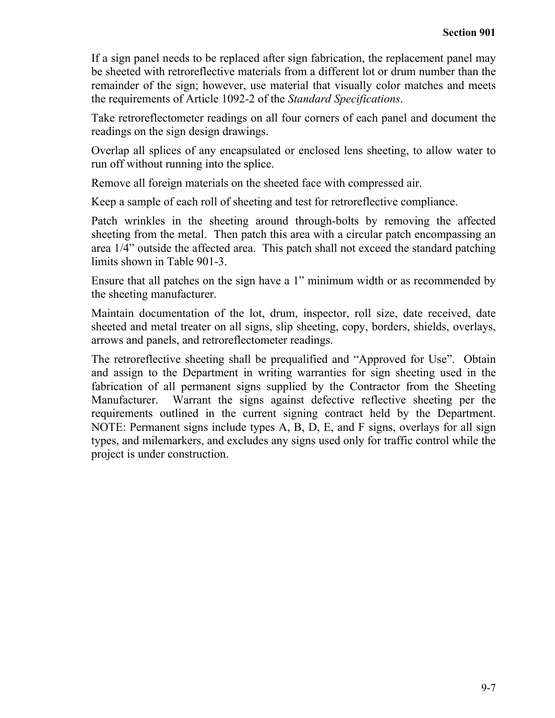If a sign panel needs to be replaced after sign fabrication, the replacement panel may be sheeted with retroreflective materials from a different lot or drum number than the remainder of the sign; however, use material that visually color matches and meets the requirements of Article 1092-2 of the *Standard Specifications*.

Take retroreflectometer readings on all four corners of each panel and document the readings on the sign design drawings.

Overlap all splices of any encapsulated or enclosed lens sheeting, to allow water to run off without running into the splice.

Remove all foreign materials on the sheeted face with compressed air.

Keep a sample of each roll of sheeting and test for retroreflective compliance.

Patch wrinkles in the sheeting around through-bolts by removing the affected sheeting from the metal. Then patch this area with a circular patch encompassing an area 1/4" outside the affected area. This patch shall not exceed the standard patching limits shown in Table 901-3.

Ensure that all patches on the sign have a 1" minimum width or as recommended by the sheeting manufacturer.

Maintain documentation of the lot, drum, inspector, roll size, date received, date sheeted and metal treater on all signs, slip sheeting, copy, borders, shields, overlays, arrows and panels, and retroreflectometer readings.

The retroreflective sheeting shall be prequalified and "Approved for Use". Obtain and assign to the Department in writing warranties for sign sheeting used in the fabrication of all permanent signs supplied by the Contractor from the Sheeting Manufacturer. Warrant the signs against defective reflective sheeting per the requirements outlined in the current signing contract held by the Department. NOTE: Permanent signs include types A, B, D, E, and F signs, overlays for all sign types, and milemarkers, and excludes any signs used only for traffic control while the project is under construction.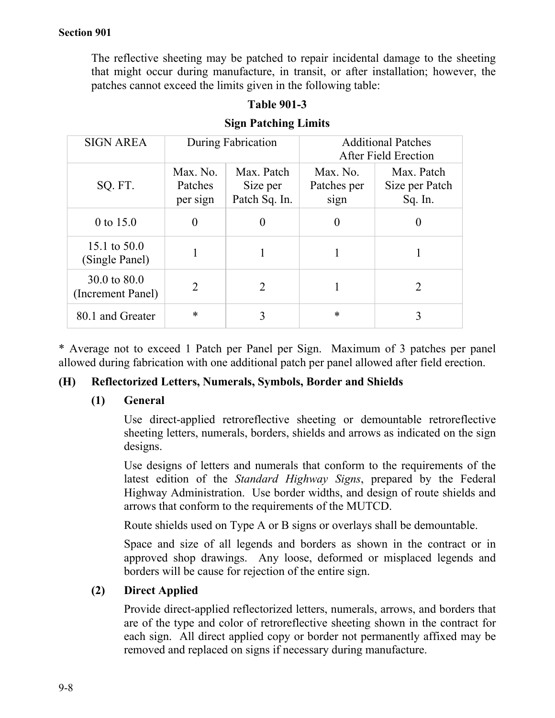The reflective sheeting may be patched to repair incidental damage to the sheeting that might occur during manufacture, in transit, or after installation; however, the patches cannot exceed the limits given in the following table:

# **Table 901-3**

|  | <b>Sign Patching Limits</b> |  |
|--|-----------------------------|--|
|--|-----------------------------|--|

| <b>SIGN AREA</b>                  | During Fabrication              |                                         | <b>Additional Patches</b><br>After Field Erection |                                         |
|-----------------------------------|---------------------------------|-----------------------------------------|---------------------------------------------------|-----------------------------------------|
| SQ. FT.                           | Max. No.<br>Patches<br>per sign | Max. Patch<br>Size per<br>Patch Sq. In. | Max. No.<br>Patches per<br>sign                   | Max. Patch<br>Size per Patch<br>Sq. In. |
| 0 to $15.0$                       | 0                               | $\theta$                                | $\theta$                                          | 0                                       |
| 15.1 to $50.0$<br>(Single Panel)  | 1                               |                                         |                                                   |                                         |
| 30.0 to 80.0<br>(Increment Panel) | 2                               | $\overline{2}$                          |                                                   | 2                                       |
| 80.1 and Greater                  | *                               |                                         | $\ast$                                            |                                         |

\* Average not to exceed 1 Patch per Panel per Sign. Maximum of 3 patches per panel allowed during fabrication with one additional patch per panel allowed after field erection.

## **(H) Reflectorized Letters, Numerals, Symbols, Border and Shields**

#### **(1) General**

Use direct-applied retroreflective sheeting or demountable retroreflective sheeting letters, numerals, borders, shields and arrows as indicated on the sign designs.

Use designs of letters and numerals that conform to the requirements of the latest edition of the *Standard Highway Signs*, prepared by the Federal Highway Administration. Use border widths, and design of route shields and arrows that conform to the requirements of the MUTCD.

Route shields used on Type A or B signs or overlays shall be demountable.

Space and size of all legends and borders as shown in the contract or in approved shop drawings. Any loose, deformed or misplaced legends and borders will be cause for rejection of the entire sign.

## **(2) Direct Applied**

Provide direct-applied reflectorized letters, numerals, arrows, and borders that are of the type and color of retroreflective sheeting shown in the contract for each sign. All direct applied copy or border not permanently affixed may be removed and replaced on signs if necessary during manufacture.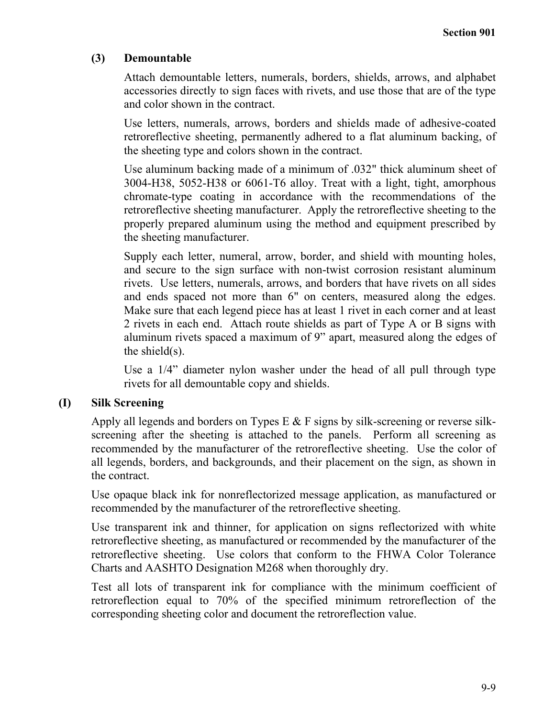# **(3) Demountable**

Attach demountable letters, numerals, borders, shields, arrows, and alphabet accessories directly to sign faces with rivets, and use those that are of the type and color shown in the contract.

Use letters, numerals, arrows, borders and shields made of adhesive-coated retroreflective sheeting, permanently adhered to a flat aluminum backing, of the sheeting type and colors shown in the contract.

Use aluminum backing made of a minimum of .032" thick aluminum sheet of 3004-H38, 5052-H38 or 6061-T6 alloy. Treat with a light, tight, amorphous chromate-type coating in accordance with the recommendations of the retroreflective sheeting manufacturer. Apply the retroreflective sheeting to the properly prepared aluminum using the method and equipment prescribed by the sheeting manufacturer.

Supply each letter, numeral, arrow, border, and shield with mounting holes, and secure to the sign surface with non-twist corrosion resistant aluminum rivets. Use letters, numerals, arrows, and borders that have rivets on all sides and ends spaced not more than 6" on centers, measured along the edges. Make sure that each legend piece has at least 1 rivet in each corner and at least 2 rivets in each end. Attach route shields as part of Type A or B signs with aluminum rivets spaced a maximum of 9" apart, measured along the edges of the shield(s).

Use a 1/4" diameter nylon washer under the head of all pull through type rivets for all demountable copy and shields.

## **(I) Silk Screening**

Apply all legends and borders on Types E & F signs by silk-screening or reverse silkscreening after the sheeting is attached to the panels. Perform all screening as recommended by the manufacturer of the retroreflective sheeting. Use the color of all legends, borders, and backgrounds, and their placement on the sign, as shown in the contract.

Use opaque black ink for nonreflectorized message application, as manufactured or recommended by the manufacturer of the retroreflective sheeting.

Use transparent ink and thinner, for application on signs reflectorized with white retroreflective sheeting, as manufactured or recommended by the manufacturer of the retroreflective sheeting. Use colors that conform to the FHWA Color Tolerance Charts and AASHTO Designation M268 when thoroughly dry.

Test all lots of transparent ink for compliance with the minimum coefficient of retroreflection equal to 70% of the specified minimum retroreflection of the corresponding sheeting color and document the retroreflection value.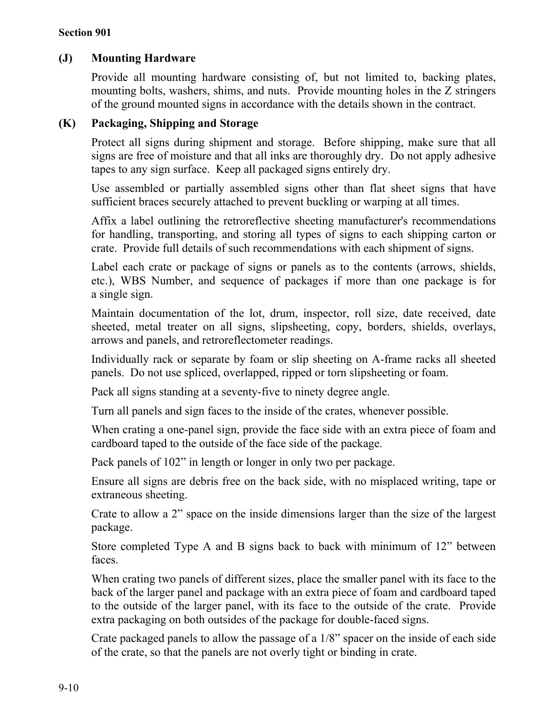## **(J) Mounting Hardware**

Provide all mounting hardware consisting of, but not limited to, backing plates, mounting bolts, washers, shims, and nuts. Provide mounting holes in the Z stringers of the ground mounted signs in accordance with the details shown in the contract.

## **(K) Packaging, Shipping and Storage**

Protect all signs during shipment and storage. Before shipping, make sure that all signs are free of moisture and that all inks are thoroughly dry. Do not apply adhesive tapes to any sign surface. Keep all packaged signs entirely dry.

Use assembled or partially assembled signs other than flat sheet signs that have sufficient braces securely attached to prevent buckling or warping at all times.

Affix a label outlining the retroreflective sheeting manufacturer's recommendations for handling, transporting, and storing all types of signs to each shipping carton or crate. Provide full details of such recommendations with each shipment of signs.

Label each crate or package of signs or panels as to the contents (arrows, shields, etc.), WBS Number, and sequence of packages if more than one package is for a single sign.

Maintain documentation of the lot, drum, inspector, roll size, date received, date sheeted, metal treater on all signs, slipsheeting, copy, borders, shields, overlays, arrows and panels, and retroreflectometer readings.

Individually rack or separate by foam or slip sheeting on A-frame racks all sheeted panels. Do not use spliced, overlapped, ripped or torn slipsheeting or foam.

Pack all signs standing at a seventy-five to ninety degree angle.

Turn all panels and sign faces to the inside of the crates, whenever possible.

When crating a one-panel sign, provide the face side with an extra piece of foam and cardboard taped to the outside of the face side of the package.

Pack panels of 102" in length or longer in only two per package.

Ensure all signs are debris free on the back side, with no misplaced writing, tape or extraneous sheeting.

Crate to allow a 2" space on the inside dimensions larger than the size of the largest package.

Store completed Type A and B signs back to back with minimum of 12" between faces.

When crating two panels of different sizes, place the smaller panel with its face to the back of the larger panel and package with an extra piece of foam and cardboard taped to the outside of the larger panel, with its face to the outside of the crate. Provide extra packaging on both outsides of the package for double-faced signs.

Crate packaged panels to allow the passage of a 1/8" spacer on the inside of each side of the crate, so that the panels are not overly tight or binding in crate.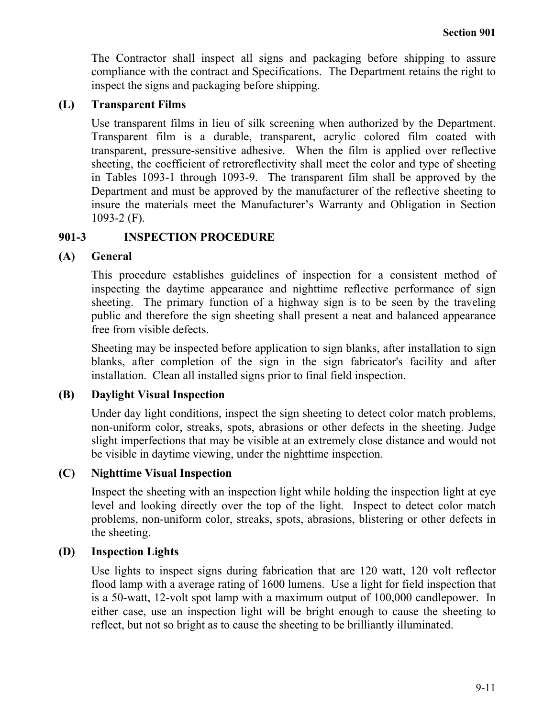The Contractor shall inspect all signs and packaging before shipping to assure compliance with the contract and Specifications. The Department retains the right to inspect the signs and packaging before shipping.

## **(L) Transparent Films**

Use transparent films in lieu of silk screening when authorized by the Department. Transparent film is a durable, transparent, acrylic colored film coated with transparent, pressure-sensitive adhesive. When the film is applied over reflective sheeting, the coefficient of retroreflectivity shall meet the color and type of sheeting in Tables 1093-1 through 1093-9. The transparent film shall be approved by the Department and must be approved by the manufacturer of the reflective sheeting to insure the materials meet the Manufacturer's Warranty and Obligation in Section 1093-2 (F).

## **901-3 INSPECTION PROCEDURE**

## **(A) General**

This procedure establishes guidelines of inspection for a consistent method of inspecting the daytime appearance and nighttime reflective performance of sign sheeting. The primary function of a highway sign is to be seen by the traveling public and therefore the sign sheeting shall present a neat and balanced appearance free from visible defects.

Sheeting may be inspected before application to sign blanks, after installation to sign blanks, after completion of the sign in the sign fabricator's facility and after installation. Clean all installed signs prior to final field inspection.

## **(B) Daylight Visual Inspection**

Under day light conditions, inspect the sign sheeting to detect color match problems, non-uniform color, streaks, spots, abrasions or other defects in the sheeting. Judge slight imperfections that may be visible at an extremely close distance and would not be visible in daytime viewing, under the nighttime inspection.

## **(C) Nighttime Visual Inspection**

Inspect the sheeting with an inspection light while holding the inspection light at eye level and looking directly over the top of the light. Inspect to detect color match problems, non-uniform color, streaks, spots, abrasions, blistering or other defects in the sheeting.

## **(D) Inspection Lights**

Use lights to inspect signs during fabrication that are 120 watt, 120 volt reflector flood lamp with a average rating of 1600 lumens. Use a light for field inspection that is a 50-watt, 12-volt spot lamp with a maximum output of 100,000 candlepower. In either case, use an inspection light will be bright enough to cause the sheeting to reflect, but not so bright as to cause the sheeting to be brilliantly illuminated.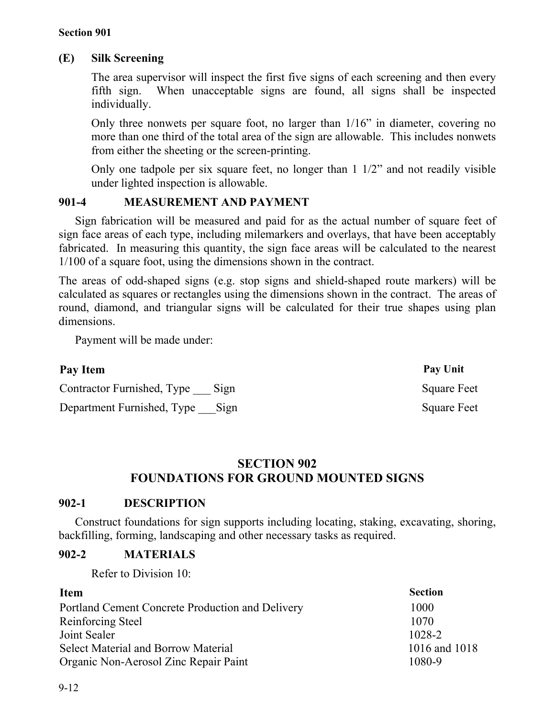## **(E) Silk Screening**

The area supervisor will inspect the first five signs of each screening and then every fifth sign. When unacceptable signs are found, all signs shall be inspected individually.

Only three nonwets per square foot, no larger than 1/16" in diameter, covering no more than one third of the total area of the sign are allowable. This includes nonwets from either the sheeting or the screen-printing.

Only one tadpole per six square feet, no longer than 1 1/2" and not readily visible under lighted inspection is allowable.

## **901-4 MEASUREMENT AND PAYMENT**

Sign fabrication will be measured and paid for as the actual number of square feet of sign face areas of each type, including milemarkers and overlays, that have been acceptably fabricated. In measuring this quantity, the sign face areas will be calculated to the nearest 1/100 of a square foot, using the dimensions shown in the contract.

The areas of odd-shaped signs (e.g. stop signs and shield-shaped route markers) will be calculated as squares or rectangles using the dimensions shown in the contract. The areas of round, diamond, and triangular signs will be calculated for their true shapes using plan dimensions.

Payment will be made under:

| Pay Item                        | Pay Unit           |
|---------------------------------|--------------------|
| Contractor Furnished, Type Sign | <b>Square Feet</b> |
| Department Furnished, Type Sign | <b>Square Feet</b> |

# **SECTION 902 FOUNDATIONS FOR GROUND MOUNTED SIGNS**

## **902-1 DESCRIPTION**

Construct foundations for sign supports including locating, staking, excavating, shoring, backfilling, forming, landscaping and other necessary tasks as required.

## **902-2 MATERIALS**

Refer to Division 10:

| <b>Item</b>                                      | <b>Section</b> |
|--------------------------------------------------|----------------|
| Portland Cement Concrete Production and Delivery | 1000           |
| Reinforcing Steel                                | 1070           |
| Joint Sealer                                     | 1028-2         |
| <b>Select Material and Borrow Material</b>       | 1016 and 1018  |
| Organic Non-Aerosol Zinc Repair Paint            | 1080-9         |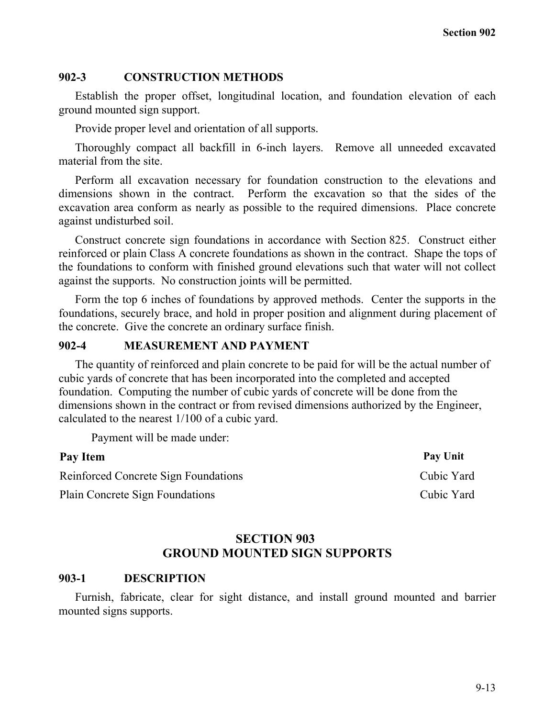#### **902-3 CONSTRUCTION METHODS**

Establish the proper offset, longitudinal location, and foundation elevation of each ground mounted sign support.

Provide proper level and orientation of all supports.

Thoroughly compact all backfill in 6-inch layers. Remove all unneeded excavated material from the site.

Perform all excavation necessary for foundation construction to the elevations and dimensions shown in the contract. Perform the excavation so that the sides of the excavation area conform as nearly as possible to the required dimensions. Place concrete against undisturbed soil.

Construct concrete sign foundations in accordance with Section 825. Construct either reinforced or plain Class A concrete foundations as shown in the contract. Shape the tops of the foundations to conform with finished ground elevations such that water will not collect against the supports. No construction joints will be permitted.

Form the top 6 inches of foundations by approved methods. Center the supports in the foundations, securely brace, and hold in proper position and alignment during placement of the concrete. Give the concrete an ordinary surface finish.

#### **902-4 MEASUREMENT AND PAYMENT**

The quantity of reinforced and plain concrete to be paid for will be the actual number of cubic yards of concrete that has been incorporated into the completed and accepted foundation. Computing the number of cubic yards of concrete will be done from the dimensions shown in the contract or from revised dimensions authorized by the Engineer, calculated to the nearest 1/100 of a cubic yard.

Payment will be made under:

| Pay Item                                    | <b>Pay Unit</b> |
|---------------------------------------------|-----------------|
| <b>Reinforced Concrete Sign Foundations</b> | Cubic Yard      |
| <b>Plain Concrete Sign Foundations</b>      | Cubic Yard      |

## **SECTION 903 GROUND MOUNTED SIGN SUPPORTS**

#### **903-1 DESCRIPTION**

Furnish, fabricate, clear for sight distance, and install ground mounted and barrier mounted signs supports.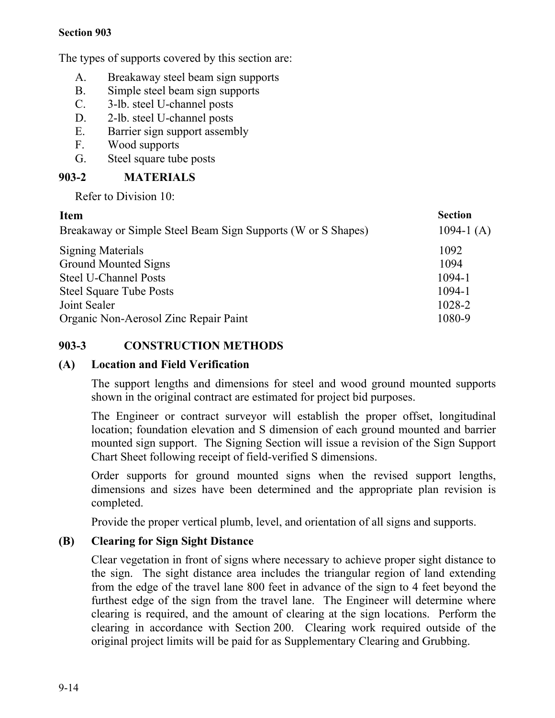The types of supports covered by this section are:

- A. Breakaway steel beam sign supports
- B. Simple steel beam sign supports
- C. 3-lb. steel U-channel posts
- D. 2-lb. steel U-channel posts
- E. Barrier sign support assembly
- F. Wood supports
- G. Steel square tube posts

# **903-2 MATERIALS**

Refer to Division 10:

| <b>Item</b>                                                  | <b>Section</b> |
|--------------------------------------------------------------|----------------|
| Breakaway or Simple Steel Beam Sign Supports (W or S Shapes) | 1094-1 $(A)$   |
| <b>Signing Materials</b>                                     | 1092           |
| Ground Mounted Signs                                         | 1094           |
| <b>Steel U-Channel Posts</b>                                 | 1094-1         |
| <b>Steel Square Tube Posts</b>                               | $1094 - 1$     |
| Joint Sealer                                                 | 1028-2         |
| Organic Non-Aerosol Zinc Repair Paint                        | 1080-9         |

# **903-3 CONSTRUCTION METHODS**

## **(A) Location and Field Verification**

The support lengths and dimensions for steel and wood ground mounted supports shown in the original contract are estimated for project bid purposes.

The Engineer or contract surveyor will establish the proper offset, longitudinal location; foundation elevation and S dimension of each ground mounted and barrier mounted sign support. The Signing Section will issue a revision of the Sign Support Chart Sheet following receipt of field-verified S dimensions.

Order supports for ground mounted signs when the revised support lengths, dimensions and sizes have been determined and the appropriate plan revision is completed.

Provide the proper vertical plumb, level, and orientation of all signs and supports.

# **(B) Clearing for Sign Sight Distance**

Clear vegetation in front of signs where necessary to achieve proper sight distance to the sign. The sight distance area includes the triangular region of land extending from the edge of the travel lane 800 feet in advance of the sign to 4 feet beyond the furthest edge of the sign from the travel lane. The Engineer will determine where clearing is required, and the amount of clearing at the sign locations. Perform the clearing in accordance with Section 200. Clearing work required outside of the original project limits will be paid for as Supplementary Clearing and Grubbing.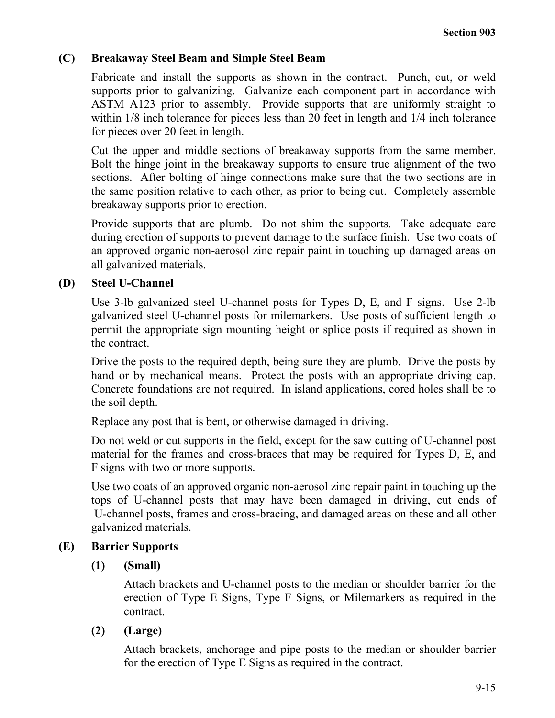## **(C) Breakaway Steel Beam and Simple Steel Beam**

Fabricate and install the supports as shown in the contract. Punch, cut, or weld supports prior to galvanizing. Galvanize each component part in accordance with ASTM A123 prior to assembly. Provide supports that are uniformly straight to within  $1/8$  inch tolerance for pieces less than 20 feet in length and  $1/4$  inch tolerance for pieces over 20 feet in length.

Cut the upper and middle sections of breakaway supports from the same member. Bolt the hinge joint in the breakaway supports to ensure true alignment of the two sections. After bolting of hinge connections make sure that the two sections are in the same position relative to each other, as prior to being cut. Completely assemble breakaway supports prior to erection.

Provide supports that are plumb. Do not shim the supports. Take adequate care during erection of supports to prevent damage to the surface finish. Use two coats of an approved organic non-aerosol zinc repair paint in touching up damaged areas on all galvanized materials.

# **(D) Steel U-Channel**

Use 3-lb galvanized steel U-channel posts for Types D, E, and F signs. Use 2-lb galvanized steel U-channel posts for milemarkers. Use posts of sufficient length to permit the appropriate sign mounting height or splice posts if required as shown in the contract.

Drive the posts to the required depth, being sure they are plumb. Drive the posts by hand or by mechanical means. Protect the posts with an appropriate driving cap. Concrete foundations are not required. In island applications, cored holes shall be to the soil depth.

Replace any post that is bent, or otherwise damaged in driving.

Do not weld or cut supports in the field, except for the saw cutting of U-channel post material for the frames and cross-braces that may be required for Types D, E, and F signs with two or more supports.

Use two coats of an approved organic non-aerosol zinc repair paint in touching up the tops of U-channel posts that may have been damaged in driving, cut ends of U-channel posts, frames and cross-bracing, and damaged areas on these and all other galvanized materials.

# **(E) Barrier Supports**

# **(1) (Small)**

Attach brackets and U-channel posts to the median or shoulder barrier for the erection of Type E Signs, Type F Signs, or Milemarkers as required in the contract.

# **(2) (Large)**

Attach brackets, anchorage and pipe posts to the median or shoulder barrier for the erection of Type E Signs as required in the contract.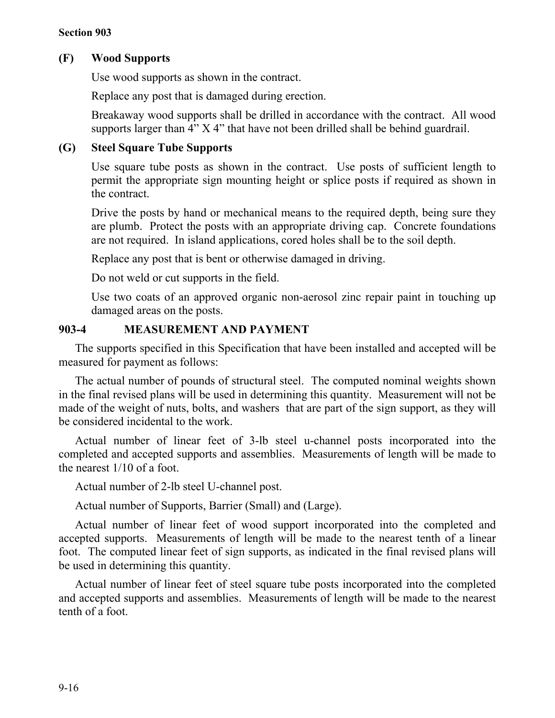# **(F) Wood Supports**

Use wood supports as shown in the contract.

Replace any post that is damaged during erection.

Breakaway wood supports shall be drilled in accordance with the contract. All wood supports larger than 4" X 4" that have not been drilled shall be behind guardrail.

## **(G) Steel Square Tube Supports**

Use square tube posts as shown in the contract. Use posts of sufficient length to permit the appropriate sign mounting height or splice posts if required as shown in the contract.

Drive the posts by hand or mechanical means to the required depth, being sure they are plumb. Protect the posts with an appropriate driving cap. Concrete foundations are not required. In island applications, cored holes shall be to the soil depth.

Replace any post that is bent or otherwise damaged in driving.

Do not weld or cut supports in the field.

Use two coats of an approved organic non-aerosol zinc repair paint in touching up damaged areas on the posts.

## **903-4 MEASUREMENT AND PAYMENT**

The supports specified in this Specification that have been installed and accepted will be measured for payment as follows:

The actual number of pounds of structural steel. The computed nominal weights shown in the final revised plans will be used in determining this quantity. Measurement will not be made of the weight of nuts, bolts, and washers that are part of the sign support, as they will be considered incidental to the work.

Actual number of linear feet of 3-lb steel u-channel posts incorporated into the completed and accepted supports and assemblies. Measurements of length will be made to the nearest 1/10 of a foot.

Actual number of 2-lb steel U-channel post.

Actual number of Supports, Barrier (Small) and (Large).

Actual number of linear feet of wood support incorporated into the completed and accepted supports. Measurements of length will be made to the nearest tenth of a linear foot. The computed linear feet of sign supports, as indicated in the final revised plans will be used in determining this quantity.

Actual number of linear feet of steel square tube posts incorporated into the completed and accepted supports and assemblies. Measurements of length will be made to the nearest tenth of a foot.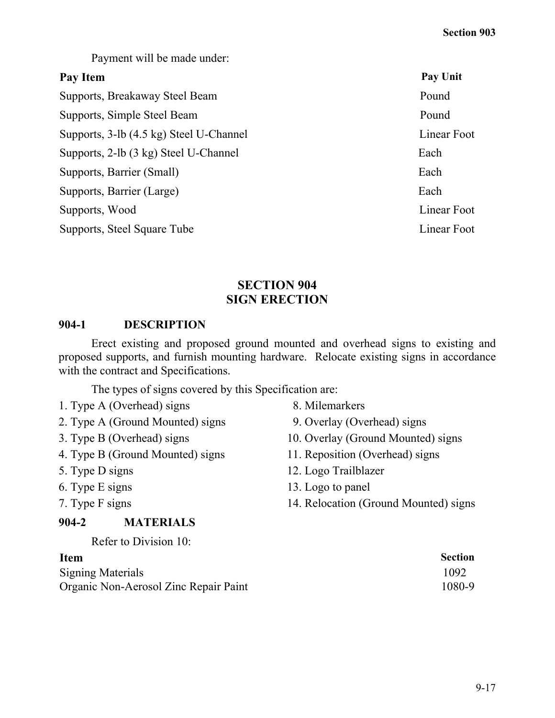Payment will be made under:

## **Pay Item Pay Unit**

Supports, Breakaway Steel Beam Pound Supports, Simple Steel Beam Pound Supports, 3-lb (4.5 kg) Steel U-Channel Linear Foot Supports, 2-lb (3 kg) Steel U-Channel Each Supports, Barrier (Small) Each Supports, Barrier (Large) Each Supports, Wood Linear Foot Supports, Steel Square Tube Linear Foot Linear Foot

# **SECTION 904 SIGN ERECTION**

## **904-1 DESCRIPTION**

Erect existing and proposed ground mounted and overhead signs to existing and proposed supports, and furnish mounting hardware. Relocate existing signs in accordance with the contract and Specifications.

The types of signs covered by this Specification are:

- 1. Type A (Overhead) signs 8. Milemarkers
- 2. Type A (Ground Mounted) signs 9. Overlay (Overhead) signs
- 
- 4. Type B (Ground Mounted) signs 11. Reposition (Overhead) signs
- 
- 
- 

## **904-2 MATERIALS**

Refer to Division 10:

Signing Materials 1092 Organic Non-Aerosol Zinc Repair Paint 1080-9

- 
- 
- 3. Type B (Overhead) signs 10. Overlay (Ground Mounted) signs
	-
- 5. Type D signs 12. Logo Trailblazer
- 6. Type E signs 13. Logo to panel
- 7. Type F signs 14. Relocation (Ground Mounted) signs

# **Item Section**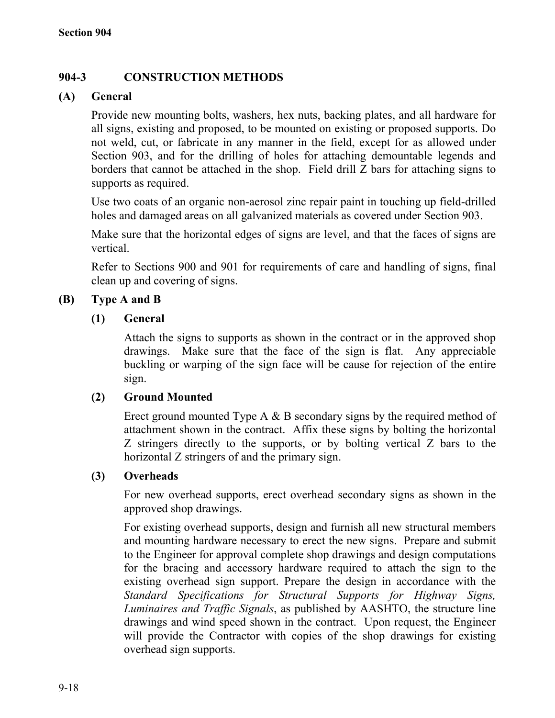# **904-3 CONSTRUCTION METHODS**

# **(A) General**

Provide new mounting bolts, washers, hex nuts, backing plates, and all hardware for all signs, existing and proposed, to be mounted on existing or proposed supports. Do not weld, cut, or fabricate in any manner in the field, except for as allowed under Section 903, and for the drilling of holes for attaching demountable legends and borders that cannot be attached in the shop. Field drill Z bars for attaching signs to supports as required.

Use two coats of an organic non-aerosol zinc repair paint in touching up field-drilled holes and damaged areas on all galvanized materials as covered under Section 903.

Make sure that the horizontal edges of signs are level, and that the faces of signs are vertical.

Refer to Sections 900 and 901 for requirements of care and handling of signs, final clean up and covering of signs.

# **(B) Type A and B**

## **(1) General**

Attach the signs to supports as shown in the contract or in the approved shop drawings. Make sure that the face of the sign is flat. Any appreciable buckling or warping of the sign face will be cause for rejection of the entire sign.

## **(2) Ground Mounted**

Erect ground mounted Type A & B secondary signs by the required method of attachment shown in the contract. Affix these signs by bolting the horizontal Z stringers directly to the supports, or by bolting vertical Z bars to the horizontal Z stringers of and the primary sign.

## **(3) Overheads**

For new overhead supports, erect overhead secondary signs as shown in the approved shop drawings.

For existing overhead supports, design and furnish all new structural members and mounting hardware necessary to erect the new signs. Prepare and submit to the Engineer for approval complete shop drawings and design computations for the bracing and accessory hardware required to attach the sign to the existing overhead sign support. Prepare the design in accordance with the *Standard Specifications for Structural Supports for Highway Signs, Luminaires and Traffic Signals*, as published by AASHTO, the structure line drawings and wind speed shown in the contract. Upon request, the Engineer will provide the Contractor with copies of the shop drawings for existing overhead sign supports.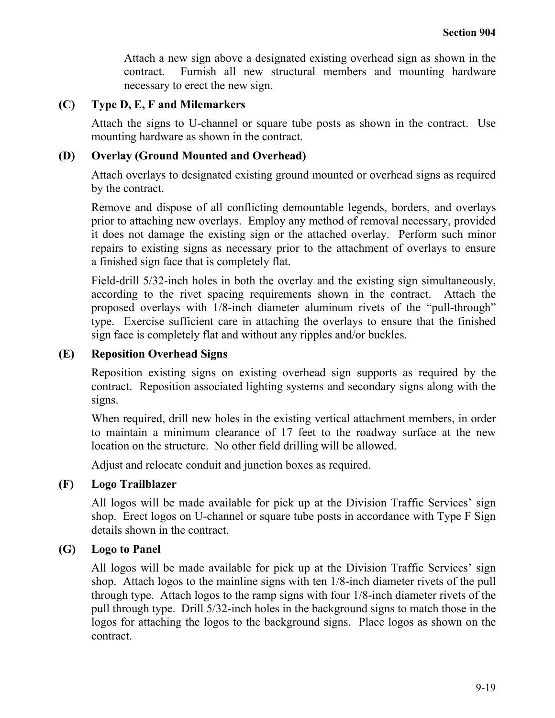Attach a new sign above a designated existing overhead sign as shown in the contract. Furnish all new structural members and mounting hardware necessary to erect the new sign.

## **(C) Type D, E, F and Milemarkers**

Attach the signs to U-channel or square tube posts as shown in the contract. Use mounting hardware as shown in the contract.

## **(D) Overlay (Ground Mounted and Overhead)**

Attach overlays to designated existing ground mounted or overhead signs as required by the contract.

Remove and dispose of all conflicting demountable legends, borders, and overlays prior to attaching new overlays. Employ any method of removal necessary, provided it does not damage the existing sign or the attached overlay. Perform such minor repairs to existing signs as necessary prior to the attachment of overlays to ensure a finished sign face that is completely flat.

Field-drill 5/32-inch holes in both the overlay and the existing sign simultaneously, according to the rivet spacing requirements shown in the contract. Attach the proposed overlays with 1/8-inch diameter aluminum rivets of the "pull-through" type. Exercise sufficient care in attaching the overlays to ensure that the finished sign face is completely flat and without any ripples and/or buckles.

### **(E) Reposition Overhead Signs**

Reposition existing signs on existing overhead sign supports as required by the contract. Reposition associated lighting systems and secondary signs along with the signs.

When required, drill new holes in the existing vertical attachment members, in order to maintain a minimum clearance of 17 feet to the roadway surface at the new location on the structure. No other field drilling will be allowed.

Adjust and relocate conduit and junction boxes as required.

## **(F) Logo Trailblazer**

All logos will be made available for pick up at the Division Traffic Services' sign shop. Erect logos on U-channel or square tube posts in accordance with Type F Sign details shown in the contract.

#### **(G) Logo to Panel**

All logos will be made available for pick up at the Division Traffic Services' sign shop. Attach logos to the mainline signs with ten 1/8-inch diameter rivets of the pull through type. Attach logos to the ramp signs with four 1/8-inch diameter rivets of the pull through type. Drill 5/32-inch holes in the background signs to match those in the logos for attaching the logos to the background signs. Place logos as shown on the contract.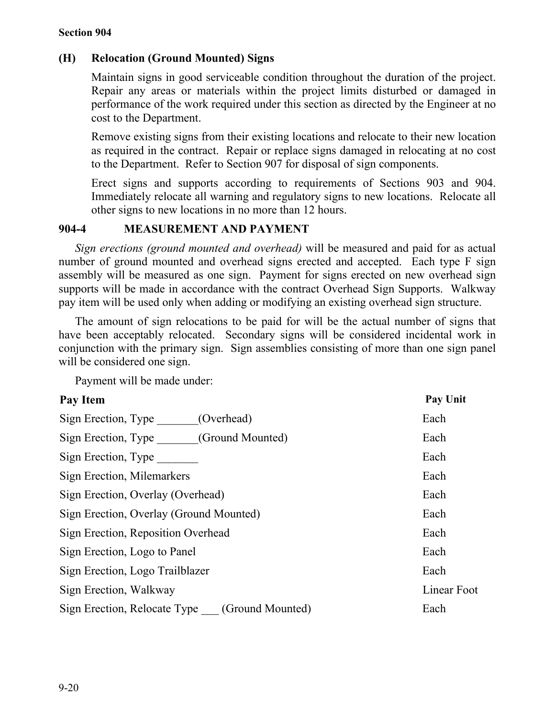# **(H) Relocation (Ground Mounted) Signs**

Maintain signs in good serviceable condition throughout the duration of the project. Repair any areas or materials within the project limits disturbed or damaged in performance of the work required under this section as directed by the Engineer at no cost to the Department.

Remove existing signs from their existing locations and relocate to their new location as required in the contract. Repair or replace signs damaged in relocating at no cost to the Department. Refer to Section 907 for disposal of sign components.

Erect signs and supports according to requirements of Sections 903 and 904. Immediately relocate all warning and regulatory signs to new locations. Relocate all other signs to new locations in no more than 12 hours.

## **904-4 MEASUREMENT AND PAYMENT**

*Sign erections (ground mounted and overhead)* will be measured and paid for as actual number of ground mounted and overhead signs erected and accepted. Each type F sign assembly will be measured as one sign. Payment for signs erected on new overhead sign supports will be made in accordance with the contract Overhead Sign Supports. Walkway pay item will be used only when adding or modifying an existing overhead sign structure.

The amount of sign relocations to be paid for will be the actual number of signs that have been acceptably relocated. Secondary signs will be considered incidental work in conjunction with the primary sign. Sign assemblies consisting of more than one sign panel will be considered one sign.

Payment will be made under:

| Pay Item                                      | Pay Unit    |
|-----------------------------------------------|-------------|
| Sign Erection, Type<br>(Overhead)             | Each        |
| Sign Erection, Type (Ground Mounted)          | Each        |
| Sign Erection, Type                           | Each        |
| Sign Erection, Milemarkers                    | Each        |
| Sign Erection, Overlay (Overhead)             | Each        |
| Sign Erection, Overlay (Ground Mounted)       | Each        |
| Sign Erection, Reposition Overhead            | Each        |
| Sign Erection, Logo to Panel                  | Each        |
| Sign Erection, Logo Trailblazer               | Each        |
| Sign Erection, Walkway                        | Linear Foot |
| Sign Erection, Relocate Type (Ground Mounted) | Each        |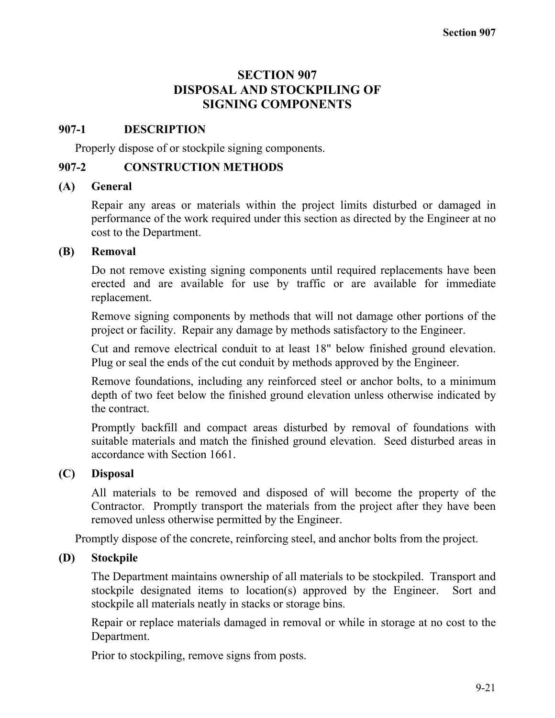# **SECTION 907 DISPOSAL AND STOCKPILING OF SIGNING COMPONENTS**

#### **907-1 DESCRIPTION**

Properly dispose of or stockpile signing components.

### **907-2 CONSTRUCTION METHODS**

#### **(A) General**

Repair any areas or materials within the project limits disturbed or damaged in performance of the work required under this section as directed by the Engineer at no cost to the Department.

## **(B) Removal**

Do not remove existing signing components until required replacements have been erected and are available for use by traffic or are available for immediate replacement.

Remove signing components by methods that will not damage other portions of the project or facility. Repair any damage by methods satisfactory to the Engineer.

Cut and remove electrical conduit to at least 18" below finished ground elevation. Plug or seal the ends of the cut conduit by methods approved by the Engineer.

Remove foundations, including any reinforced steel or anchor bolts, to a minimum depth of two feet below the finished ground elevation unless otherwise indicated by the contract.

Promptly backfill and compact areas disturbed by removal of foundations with suitable materials and match the finished ground elevation. Seed disturbed areas in accordance with Section 1661.

## **(C) Disposal**

All materials to be removed and disposed of will become the property of the Contractor. Promptly transport the materials from the project after they have been removed unless otherwise permitted by the Engineer.

Promptly dispose of the concrete, reinforcing steel, and anchor bolts from the project.

## **(D) Stockpile**

The Department maintains ownership of all materials to be stockpiled. Transport and stockpile designated items to location(s) approved by the Engineer. Sort and stockpile all materials neatly in stacks or storage bins.

Repair or replace materials damaged in removal or while in storage at no cost to the Department.

Prior to stockpiling, remove signs from posts.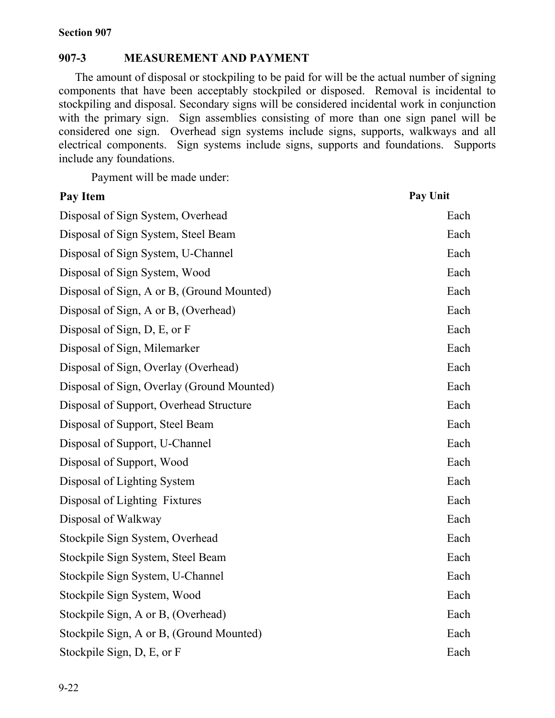## **907-3 MEASUREMENT AND PAYMENT**

The amount of disposal or stockpiling to be paid for will be the actual number of signing components that have been acceptably stockpiled or disposed. Removal is incidental to stockpiling and disposal. Secondary signs will be considered incidental work in conjunction with the primary sign. Sign assemblies consisting of more than one sign panel will be considered one sign. Overhead sign systems include signs, supports, walkways and all electrical components. Sign systems include signs, supports and foundations. Supports include any foundations.

Payment will be made under:

| Pay Item                                   | Pay Unit |
|--------------------------------------------|----------|
| Disposal of Sign System, Overhead          | Each     |
| Disposal of Sign System, Steel Beam        | Each     |
| Disposal of Sign System, U-Channel         | Each     |
| Disposal of Sign System, Wood              | Each     |
| Disposal of Sign, A or B, (Ground Mounted) | Each     |
| Disposal of Sign, A or B, (Overhead)       | Each     |
| Disposal of Sign, D, E, or F               | Each     |
| Disposal of Sign, Milemarker               | Each     |
| Disposal of Sign, Overlay (Overhead)       | Each     |
| Disposal of Sign, Overlay (Ground Mounted) | Each     |
| Disposal of Support, Overhead Structure    | Each     |
| Disposal of Support, Steel Beam            | Each     |
| Disposal of Support, U-Channel             | Each     |
| Disposal of Support, Wood                  | Each     |
| Disposal of Lighting System                | Each     |
| Disposal of Lighting Fixtures              | Each     |
| Disposal of Walkway                        | Each     |
| Stockpile Sign System, Overhead            | Each     |
| Stockpile Sign System, Steel Beam          | Each     |
| Stockpile Sign System, U-Channel           | Each     |
| Stockpile Sign System, Wood                | Each     |
| Stockpile Sign, A or B, (Overhead)         | Each     |
| Stockpile Sign, A or B, (Ground Mounted)   | Each     |
| Stockpile Sign, D, E, or F                 | Each     |